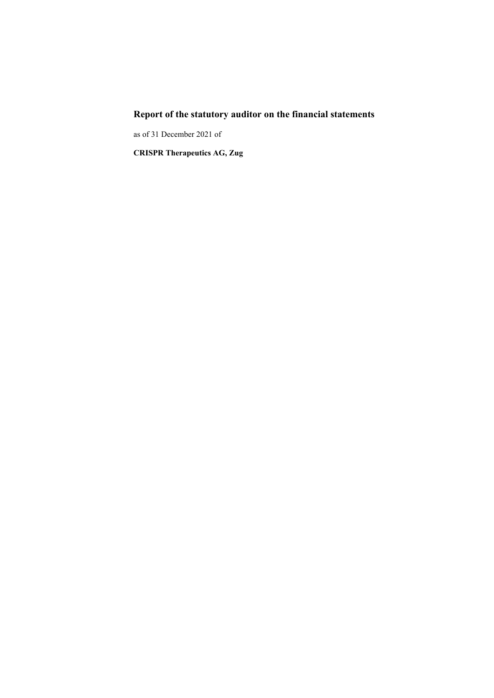# **Report of the statutory auditor on the financial statements**

as of 31 December 2021 of

**CRISPR Therapeutics AG, Zug**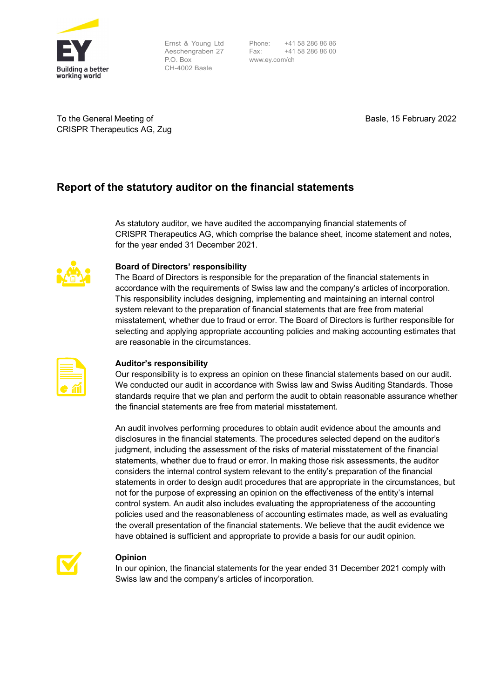

Ernst & Young Ltd Aeschengraben 27 P.O. Box CH-4002 Basle

Phone: +41 58 286 86 86 Fax: +41 58 286 86 00 www.ey.com/ch

To the General Meeting of CRISPR Therapeutics AG, Zug Basle, 15 February 2022

# **Report of the statutory auditor on the financial statements**

As statutory auditor, we have audited the accompanying financial statements of CRISPR Therapeutics AG, which comprise the balance sheet, income statement and notes, for the year ended 31 December 2021.



# **Board of Directors' responsibility**

The Board of Directors is responsible for the preparation of the financial statements in accordance with the requirements of Swiss law and the company's articles of incorporation. This responsibility includes designing, implementing and maintaining an internal control system relevant to the preparation of financial statements that are free from material misstatement, whether due to fraud or error. The Board of Directors is further responsible for selecting and applying appropriate accounting policies and making accounting estimates that are reasonable in the circumstances.

| <u> The Common Section of the Common Section of</u><br><u> The Common Section of the Common Section of</u> | <u> The Common Section of the Common Section of the Common Section of the Common Section of the Common Section of</u> |
|------------------------------------------------------------------------------------------------------------|-----------------------------------------------------------------------------------------------------------------------|
|                                                                                                            |                                                                                                                       |

# **Auditor's responsibility**

Our responsibility is to express an opinion on these financial statements based on our audit. We conducted our audit in accordance with Swiss law and Swiss Auditing Standards. Those standards require that we plan and perform the audit to obtain reasonable assurance whether the financial statements are free from material misstatement.

An audit involves performing procedures to obtain audit evidence about the amounts and disclosures in the financial statements. The procedures selected depend on the auditor's judgment, including the assessment of the risks of material misstatement of the financial statements, whether due to fraud or error. In making those risk assessments, the auditor considers the internal control system relevant to the entity's preparation of the financial statements in order to design audit procedures that are appropriate in the circumstances, but not for the purpose of expressing an opinion on the effectiveness of the entity's internal control system. An audit also includes evaluating the appropriateness of the accounting policies used and the reasonableness of accounting estimates made, as well as evaluating the overall presentation of the financial statements. We believe that the audit evidence we have obtained is sufficient and appropriate to provide a basis for our audit opinion.



# **Opinion**

In our opinion, the financial statements for the year ended 31 December 2021 comply with Swiss law and the company's articles of incorporation.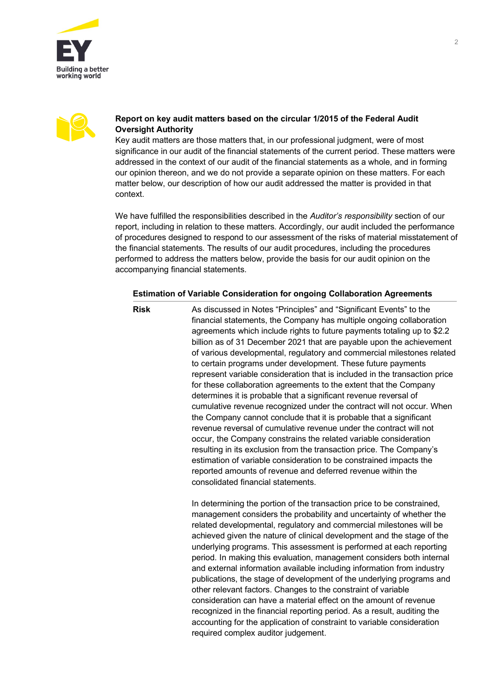



# **Report on key audit matters based on the circular 1/2015 of the Federal Audit Oversight Authority**

Key audit matters are those matters that, in our professional judgment, were of most significance in our audit of the financial statements of the current period. These matters were addressed in the context of our audit of the financial statements as a whole, and in forming our opinion thereon, and we do not provide a separate opinion on these matters. For each matter below, our description of how our audit addressed the matter is provided in that context.

We have fulfilled the responsibilities described in the *Auditor's responsibility* section of our report, including in relation to these matters. Accordingly, our audit included the performance of procedures designed to respond to our assessment of the risks of material misstatement of the financial statements. The results of our audit procedures, including the procedures performed to address the matters below, provide the basis for our audit opinion on the accompanying financial statements.

# **Estimation of Variable Consideration for ongoing Collaboration Agreements**

**Risk** As discussed in Notes "Principles" and "Significant Events" to the financial statements, the Company has multiple ongoing collaboration agreements which include rights to future payments totaling up to \$2.2 billion as of 31 December 2021 that are payable upon the achievement of various developmental, regulatory and commercial milestones related to certain programs under development. These future payments represent variable consideration that is included in the transaction price for these collaboration agreements to the extent that the Company determines it is probable that a significant revenue reversal of cumulative revenue recognized under the contract will not occur. When the Company cannot conclude that it is probable that a significant revenue reversal of cumulative revenue under the contract will not occur, the Company constrains the related variable consideration resulting in its exclusion from the transaction price. The Company's estimation of variable consideration to be constrained impacts the reported amounts of revenue and deferred revenue within the consolidated financial statements.

> In determining the portion of the transaction price to be constrained, management considers the probability and uncertainty of whether the related developmental, regulatory and commercial milestones will be achieved given the nature of clinical development and the stage of the underlying programs. This assessment is performed at each reporting period. In making this evaluation, management considers both internal and external information available including information from industry publications, the stage of development of the underlying programs and other relevant factors. Changes to the constraint of variable consideration can have a material effect on the amount of revenue recognized in the financial reporting period. As a result, auditing the accounting for the application of constraint to variable consideration required complex auditor judgement.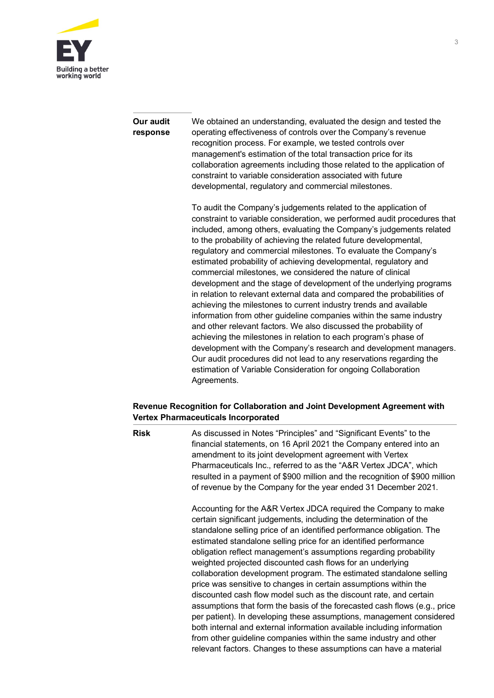

# **Our audit response**

We obtained an understanding, evaluated the design and tested the operating effectiveness of controls over the Company's revenue recognition process. For example, we tested controls over management's estimation of the total transaction price for its collaboration agreements including those related to the application of constraint to variable consideration associated with future developmental, regulatory and commercial milestones.

To audit the Company's judgements related to the application of constraint to variable consideration, we performed audit procedures that included, among others, evaluating the Company's judgements related to the probability of achieving the related future developmental, regulatory and commercial milestones. To evaluate the Company's estimated probability of achieving developmental, regulatory and commercial milestones, we considered the nature of clinical development and the stage of development of the underlying programs in relation to relevant external data and compared the probabilities of achieving the milestones to current industry trends and available information from other guideline companies within the same industry and other relevant factors. We also discussed the probability of achieving the milestones in relation to each program's phase of development with the Company's research and development managers. Our audit procedures did not lead to any reservations regarding the estimation of Variable Consideration for ongoing Collaboration Agreements.

# **Revenue Recognition for Collaboration and Joint Development Agreement with Vertex Pharmaceuticals Incorporated**

**Risk** As discussed in Notes "Principles" and "Significant Events" to the financial statements, on 16 April 2021 the Company entered into an amendment to its joint development agreement with Vertex Pharmaceuticals Inc., referred to as the "A&R Vertex JDCA", which resulted in a payment of \$900 million and the recognition of \$900 million of revenue by the Company for the year ended 31 December 2021. Accounting for the A&R Vertex JDCA required the Company to make certain significant judgements, including the determination of the standalone selling price of an identified performance obligation. The estimated standalone selling price for an identified performance obligation reflect management's assumptions regarding probability weighted projected discounted cash flows for an underlying collaboration development program. The estimated standalone selling price was sensitive to changes in certain assumptions within the discounted cash flow model such as the discount rate, and certain assumptions that form the basis of the forecasted cash flows (e.g., price per patient). In developing these assumptions, management considered both internal and external information available including information from other guideline companies within the same industry and other relevant factors. Changes to these assumptions can have a material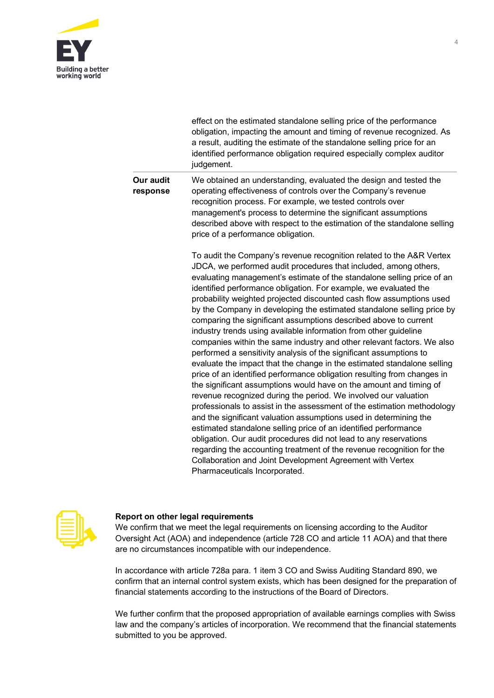

|                       | effect on the estimated standalone selling price of the performance<br>obligation, impacting the amount and timing of revenue recognized. As<br>a result, auditing the estimate of the standalone selling price for an<br>identified performance obligation required especially complex auditor<br>judgement.                                                                                                                                                                                                                                                                                                                                                                                                                                                                                                                                                                                                                                                                                                                                                                                                                                                                                                                                                                                                                                                                                                                                                                                  |
|-----------------------|------------------------------------------------------------------------------------------------------------------------------------------------------------------------------------------------------------------------------------------------------------------------------------------------------------------------------------------------------------------------------------------------------------------------------------------------------------------------------------------------------------------------------------------------------------------------------------------------------------------------------------------------------------------------------------------------------------------------------------------------------------------------------------------------------------------------------------------------------------------------------------------------------------------------------------------------------------------------------------------------------------------------------------------------------------------------------------------------------------------------------------------------------------------------------------------------------------------------------------------------------------------------------------------------------------------------------------------------------------------------------------------------------------------------------------------------------------------------------------------------|
| Our audit<br>response | We obtained an understanding, evaluated the design and tested the<br>operating effectiveness of controls over the Company's revenue<br>recognition process. For example, we tested controls over<br>management's process to determine the significant assumptions<br>described above with respect to the estimation of the standalone selling<br>price of a performance obligation.                                                                                                                                                                                                                                                                                                                                                                                                                                                                                                                                                                                                                                                                                                                                                                                                                                                                                                                                                                                                                                                                                                            |
|                       | To audit the Company's revenue recognition related to the A&R Vertex<br>JDCA, we performed audit procedures that included, among others,<br>evaluating management's estimate of the standalone selling price of an<br>identified performance obligation. For example, we evaluated the<br>probability weighted projected discounted cash flow assumptions used<br>by the Company in developing the estimated standalone selling price by<br>comparing the significant assumptions described above to current<br>industry trends using available information from other guideline<br>companies within the same industry and other relevant factors. We also<br>performed a sensitivity analysis of the significant assumptions to<br>evaluate the impact that the change in the estimated standalone selling<br>price of an identified performance obligation resulting from changes in<br>the significant assumptions would have on the amount and timing of<br>revenue recognized during the period. We involved our valuation<br>professionals to assist in the assessment of the estimation methodology<br>and the significant valuation assumptions used in determining the<br>estimated standalone selling price of an identified performance<br>obligation. Our audit procedures did not lead to any reservations<br>regarding the accounting treatment of the revenue recognition for the<br>Collaboration and Joint Development Agreement with Vertex<br>Pharmaceuticals Incorporated. |



# **Report on other legal requirements**

We confirm that we meet the legal requirements on licensing according to the Auditor Oversight Act (AOA) and independence (article 728 CO and article 11 AOA) and that there are no circumstances incompatible with our independence.

In accordance with article 728a para. 1 item 3 CO and Swiss Auditing Standard 890, we confirm that an internal control system exists, which has been designed for the preparation of financial statements according to the instructions of the Board of Directors.

We further confirm that the proposed appropriation of available earnings complies with Swiss law and the company's articles of incorporation. We recommend that the financial statements submitted to you be approved.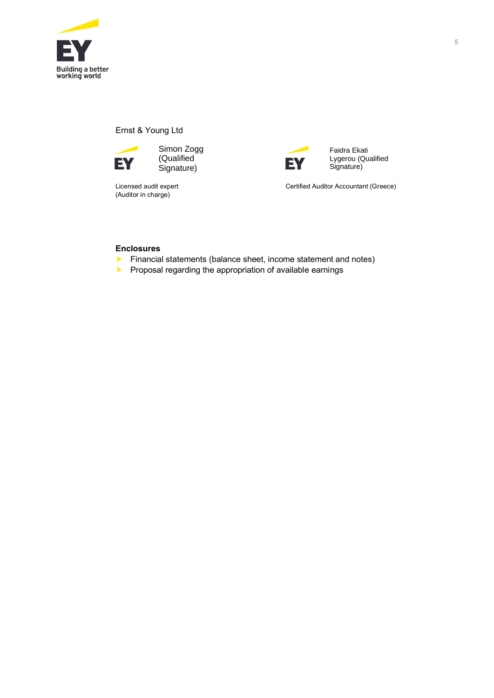

# Ernst & Young Ltd



(Auditor in charge)



Faidra Ekati Lygerou (Qualified Signature)

Licensed audit expert **CERTIFIED EXECUTES** Certified Auditor Accountant (Greece)

# **Enclosures**

- **Financial statements (balance sheet, income statement and notes)**
- $\blacktriangleright$  Proposal regarding the appropriation of available earnings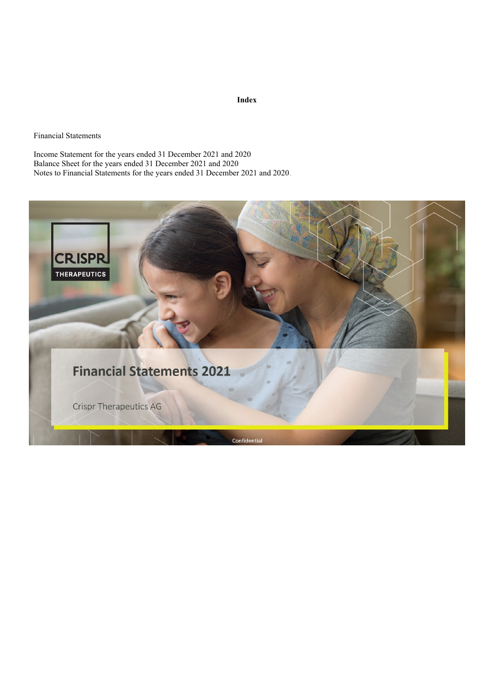# **Index**

Financial Statements

[Income Statement for the years ended 31 December 2021 and 2020](#page-7-0) [Balance Sheet for the years ended 31 December 2021 and 2020](#page-8-0) [Notes to Financial Statements for the years ended 31 December 2021 and 2020](#page-12-0).

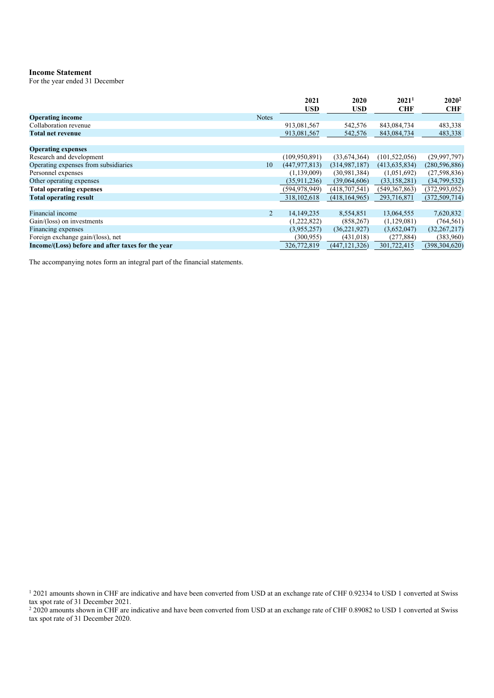## <span id="page-7-0"></span>**Income Statement**

For the year ended 31 December

|                                                   |              | 2021            | 2020            | 2021 <sup>1</sup> | 2020 <sup>2</sup> |
|---------------------------------------------------|--------------|-----------------|-----------------|-------------------|-------------------|
|                                                   |              | <b>USD</b>      | <b>USD</b>      | <b>CHF</b>        | <b>CHF</b>        |
| <b>Operating income</b>                           | <b>Notes</b> |                 |                 |                   |                   |
| Collaboration revenue                             |              | 913,081,567     | 542,576         | 843,084,734       | 483,338           |
| <b>Total net revenue</b>                          |              | 913,081,567     | 542,576         | 843,084,734       | 483,338           |
| <b>Operating expenses</b>                         |              |                 |                 |                   |                   |
| Research and development                          |              | (109, 950, 891) | (33,674,364)    | (101, 522, 056)   | (29,997,797)      |
| Operating expenses from subsidiaries              | 10           | (447, 977, 813) | (314, 987, 187) | (413, 635, 834)   | (280, 596, 886)   |
| Personnel expenses                                |              | (1,139,009)     | (30,981,384)    | (1,051,692)       | (27, 598, 836)    |
| Other operating expenses                          |              | (35,911,236)    | (39,064,606)    | (33, 158, 281)    | (34,799,532)      |
| <b>Total operating expenses</b>                   |              | (594, 978, 949) | (418, 707, 541) | (549, 367, 863)   | (372,993,052)     |
| <b>Total operating result</b>                     |              | 318, 102, 618   | (418, 164, 965) | 293,716,871       | (372, 509, 714)   |
| Financial income                                  | 2            | 14, 149, 235    | 8,554,851       | 13,064,555        | 7,620,832         |
| Gain/(loss) on investments                        |              | (1,222,822)     | (858, 267)      | (1,129,081)       | (764, 561)        |
| Financing expenses                                |              | (3,955,257)     | (36, 221, 927)  | (3,652,047)       | (32, 267, 217)    |
| Foreign exchange gain/(loss), net                 |              | (300, 955)      | (431, 018)      | (277, 884)        | (383,960)         |
| Income/(Loss) before and after taxes for the year |              | 326,772,819     | (447, 121, 326) | 301,722,415       | (398, 304, 620)   |

The accompanying notes form an integral part of the financial statements.

<sup>1</sup> 2021 amounts shown in CHF are indicative and have been converted from USD at an exchange rate of CHF 0.92334 to USD 1 converted at Swiss tax spot rate of 31 December 2021.

<sup>2</sup> 2020 amounts shown in CHF are indicative and have been converted from USD at an exchange rate of CHF 0.89082 to USD 1 converted at Swiss tax spot rate of 31 December 2020.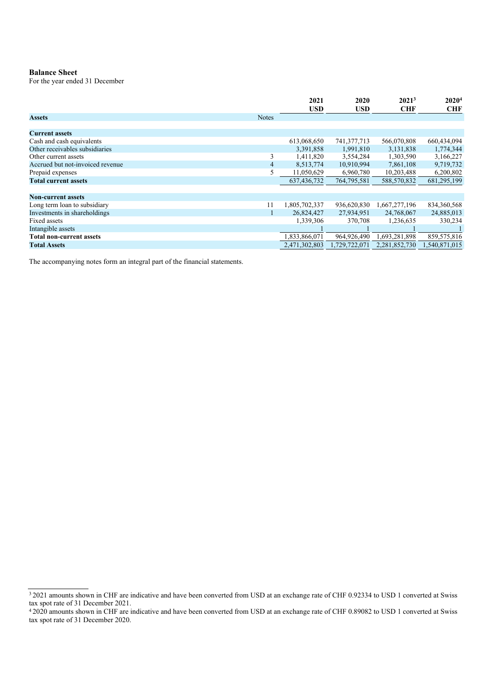## <span id="page-8-0"></span>**Balance Sheet**

For the year ended 31 December

|                                  |                | 2021<br><b>USD</b> | 2020<br><b>USD</b> | 2021 <sup>3</sup><br><b>CHF</b> | 2020 <sup>4</sup><br><b>CHF</b> |
|----------------------------------|----------------|--------------------|--------------------|---------------------------------|---------------------------------|
| <b>Assets</b>                    | <b>Notes</b>   |                    |                    |                                 |                                 |
|                                  |                |                    |                    |                                 |                                 |
| <b>Current assets</b>            |                |                    |                    |                                 |                                 |
| Cash and cash equivalents        |                | 613,068,650        | 741,377,713        | 566,070,808                     | 660,434,094                     |
| Other receivables subsidiaries   |                | 3,391,858          | 1,991,810          | 3,131,838                       | 1,774,344                       |
| Other current assets             | 3              | 1,411,820          | 3,554,284          | 1,303,590                       | 3,166,227                       |
| Accrued but not-invoiced revenue | $\overline{4}$ | 8,513,774          | 10,910,994         | 7,861,108                       | 9,719,732                       |
| Prepaid expenses                 | 5              | 11,050,629         | 6,960,780          | 10,203,488                      | 6,200,802                       |
| <b>Total current assets</b>      |                | 637,436,732        | 764,795,581        | 588,570,832                     | 681,295,199                     |
|                                  |                |                    |                    |                                 |                                 |
| <b>Non-current assets</b>        |                |                    |                    |                                 |                                 |
| Long term loan to subsidiary     | 11             | 1,805,702,337      | 936,620,830        | 1,667,277,196                   | 834, 360, 568                   |
| Investments in shareholdings     |                | 26,824,427         | 27,934,951         | 24,768,067                      | 24,885,013                      |
| Fixed assets                     |                | 1,339,306          | 370,708            | 1,236,635                       | 330,234                         |
| Intangible assets                |                |                    |                    |                                 |                                 |
| Total non-current assets         |                | 1,833,866,071      | 964,926,490        | 1,693,281,898                   | 859,575,816                     |
| <b>Total Assets</b>              |                | 2,471,302,803      | 1,729,722,071      | 2,281,852,730                   | 1,540,871,015                   |

The accompanying notes form an integral part of the financial statements.

<sup>&</sup>lt;sup>3</sup>2021 amounts shown in CHF are indicative and have been converted from USD at an exchange rate of CHF 0.92334 to USD 1 converted at Swiss tax spot rate of 31 December 2021.

<sup>4</sup>2020 amounts shown in CHF are indicative and have been converted from USD at an exchange rate of CHF 0.89082 to USD 1 converted at Swiss tax spot rate of 31 December 2020.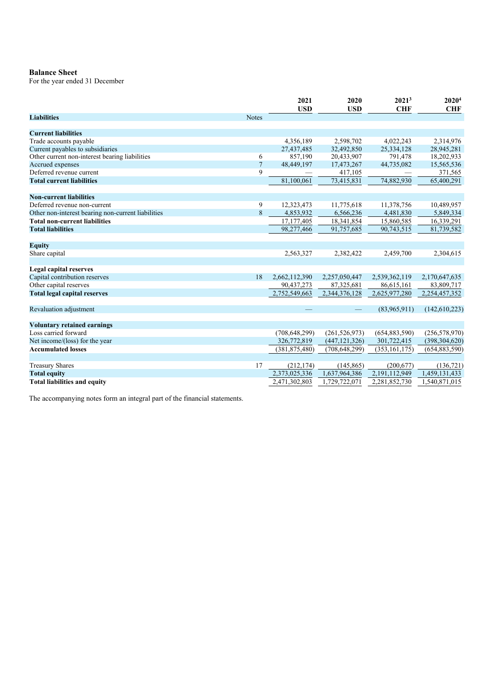## **Balance Sheet**

For the year ended 31 December

|                                                    |                | 2021<br><b>USD</b> | 2020<br><b>USD</b> | 2021 <sup>3</sup><br><b>CHF</b> | 2020 <sup>4</sup><br><b>CHF</b> |
|----------------------------------------------------|----------------|--------------------|--------------------|---------------------------------|---------------------------------|
| <b>Liabilities</b>                                 | <b>Notes</b>   |                    |                    |                                 |                                 |
| <b>Current liabilities</b>                         |                |                    |                    |                                 |                                 |
| Trade accounts payable                             |                | 4,356,189          | 2,598,702          | 4,022,243                       | 2,314,976                       |
| Current payables to subsidiaries                   |                | 27,437,485         | 32,492,850         | 25,334,128                      | 28,945,281                      |
| Other current non-interest bearing liabilities     | 6              | 857,190            | 20,433,907         | 791,478                         | 18,202,933                      |
| Accrued expenses                                   | $\overline{7}$ | 48,449,197         | 17,473,267         | 44,735,082                      | 15,565,536                      |
| Deferred revenue current                           | 9              |                    | 417,105            |                                 | 371,565                         |
| <b>Total current liabilities</b>                   |                | 81.100.061         | 73,415,831         | 74,882,930                      | 65,400,291                      |
| <b>Non-current liabilities</b>                     |                |                    |                    |                                 |                                 |
| Deferred revenue non-current                       | 9              | 12,323,473         | 11,775,618         | 11,378,756                      | 10,489,957                      |
| Other non-interest bearing non-current liabilities | 8              | 4,853,932          | 6,566,236          | 4,481,830                       | 5,849,334                       |
| <b>Total non-current liabilities</b>               |                | 17,177,405         | 18,341,854         | 15,860,585                      | 16,339,291                      |
| <b>Total liabilities</b>                           |                | 98,277,466         | 91,757,685         | 90,743,515                      | 81,739,582                      |
| <b>Equity</b>                                      |                |                    |                    |                                 |                                 |
| Share capital                                      |                | 2,563,327          | 2,382,422          | 2,459,700                       | 2,304,615                       |
| <b>Legal capital reserves</b>                      |                |                    |                    |                                 |                                 |
| Capital contribution reserves                      | 18             | 2,662,112,390      | 2,257,050,447      | 2,539,362,119                   | 2,170,647,635                   |
| Other capital reserves                             |                | 90,437,273         | 87,325,681         | 86,615,161                      | 83,809,717                      |
| <b>Total legal capital reserves</b>                |                | 2,752,549,663      | 2,344,376,128      | 2,625,977,280                   | 2,254,457,352                   |
| Revaluation adjustment                             |                |                    |                    | (83,965,911)                    | (142, 610, 223)                 |
| <b>Voluntary retained earnings</b>                 |                |                    |                    |                                 |                                 |
| Loss carried forward                               |                | (708, 648, 299)    | (261, 526, 973)    | (654,883,590)                   | (256, 578, 970)                 |
| Net income/(loss) for the year                     |                | 326,772,819        | (447, 121, 326)    | 301,722,415                     | (398, 304, 620)                 |
| <b>Accumulated losses</b>                          |                | (381, 875, 480)    | (708, 648, 299)    | (353, 161, 175)                 | (654, 883, 590)                 |
| <b>Treasury Shares</b>                             | 17             | (212, 174)         | (145, 865)         | (200, 677)                      | (136, 721)                      |
| <b>Total equity</b>                                |                | 2,373,025,336      | 1,637,964,386      | 2,191,112,949                   | 1,459,131,433                   |
| <b>Total liabilities and equity</b>                |                | 2,471,302,803      | 1,729,722,071      | 2,281,852,730                   | 1,540,871,015                   |

The accompanying notes form an integral part of the financial statements.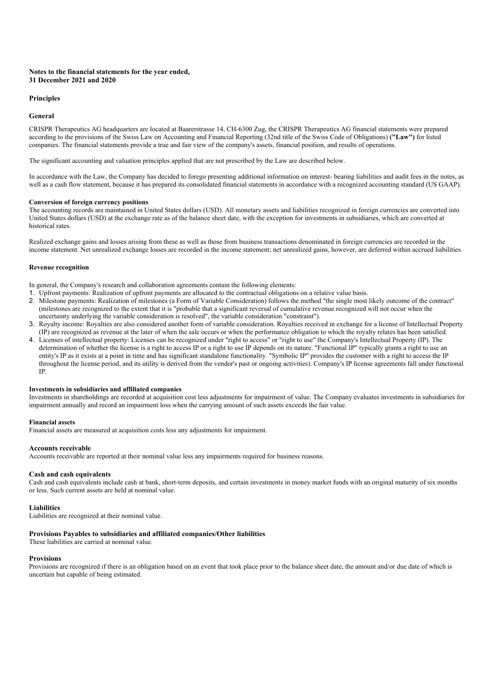## **Notes to the financial statements for the year ended, 31 December 2021 and 2020**

### **Principles**

# **General**

CRISPR Therapeutics AG headquarters are located at Baarerstrasse 14, CH-6300 Zug, the CRISPR Therapeutics AG financial statements were prepared according to the provisions of the Swiss Law on Accounting and Financial Reporting (32nd title of the Swiss Code of Obligations) **("Law")** for listed companies. The financial statements provide a true and fair view of the company's assets, financial position, and results of operations.

The significant accounting and valuation principles applied that are not prescribed by the Law are described below.

In accordance with the Law, the Company has decided to forego presenting additional information on interest- bearing liabilities and audit fees in the notes, as well as a cash flow statement, because it has prepared its consolidated financial statements in accordance with a recognized accounting standard (US GAAP).

#### **Conversion of foreign currency positions**

The accounting records are maintained in United States dollars (USD). All monetary assets and liabilities recognized in foreign currencies are converted into United States dollars (USD) at the exchange rate as of the balance sheet date, with the exception for investments in subsidiaries, which are converted at historical rates.

Realized exchange gains and losses arising from these as well as those from business transactions denominated in foreign currencies are recorded in the income statement. Net unrealized exchange losses are recorded in the income statement; net unrealized gains, however, are deferred within accrued liabilities.

## **Revenue recognition**

In general, the Company's research and collaboration agreements contain the following elements:

- 1. Upfront payments: Realization of upfront payments are allocated to the contractual obligations on a relative value basis.
- 2. Milestone payments: Realization of milestones (a Form of Variable Consideration) follows the method "the single most likely outcome of the contract" (milestones are recognized to the extent that it is "probable that a significant reversal of cumulative revenue recognized will not occur when the uncertainty underlying the variable consideration is resolved", the variable consideration "constraint").
- 3. Royalty income: Royalties are also considered another form of variable consideration. Royalties received in exchange for a license of Intellectual Property (IP) are recognized as revenue at the later of when the sale occurs or when the performance obligation to which the royalty relates has been satisfied.
- 4. Licenses of intellectual property: Licenses can be recognized under "right to access" or "right to use" the Company's Intellectual Property (IP). The determination of whether the license is a right to access IP or a right to use IP depends on its nature. "Functional IP" typically grants a right to use an entity's IP as it exists at a point in time and has significant standalone functionality. "Symbolic IP" provides the customer with a right to access the IP throughout the license period, and its utility is derived from the vendor's past or ongoing activities). Company's IP license agreements fall under functional IP.

#### **Investments in subsidiaries and affiliated companies**

Investments in shareholdings are recorded at acquisition cost less adjustments for impairment of value. The Company evaluates investments in subsidiaries for impairment annually and record an impairment loss when the carrying amount of such assets exceeds the fair value.

#### **Financial assets**

Financial assets are measured at acquisition costs less any adjustments for impairment.

#### **Accounts receivable**

Accounts receivable are reported at their nominal value less any impairments required for business reasons.

#### **Cash and cash equivalents**

Cash and cash equivalents include cash at bank, short-term deposits, and certain investments in money market funds with an original maturity of six months or less. Such current assets are held at nominal value.

#### **Liabilities**

Liabilities are recognized at their nominal value.

#### **Provisions Payables to subsidiaries and affiliated companies/Other liabilities**

These liabilities are carried at nominal value.

#### **Provisions**

Provisions are recognized if there is an obligation based on an event that took place prior to the balance sheet date, the amount and/or due date of which is uncertain but capable of being estimated.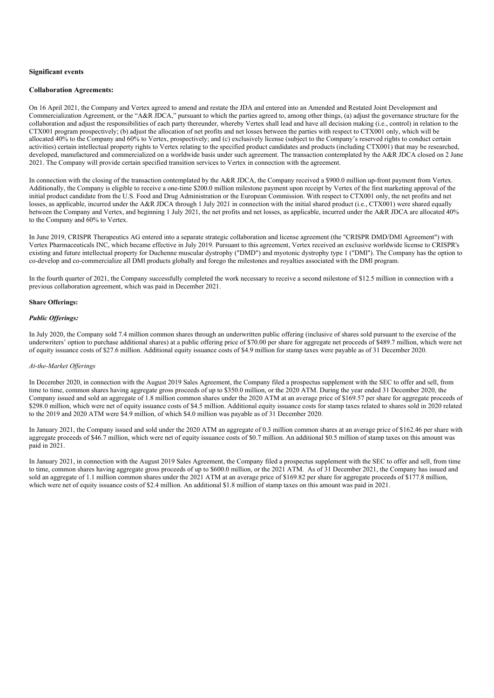#### **Significant events**

#### **Collaboration Agreements:**

On 16 April 2021, the Company and Vertex agreed to amend and restate the JDA and entered into an Amended and Restated Joint Development and Commercialization Agreement, or the "A&R JDCA," pursuant to which the parties agreed to, among other things, (a) adjust the governance structure for the collaboration and adjust the responsibilities of each party thereunder, whereby Vertex shall lead and have all decision making (i.e., control) in relation to the CTX001 program prospectively; (b) adjust the allocation of net profits and net losses between the parties with respect to CTX001 only, which will be allocated 40% to the Company and 60% to Vertex, prospectively; and (c) exclusively license (subject to the Company's reserved rights to conduct certain activities) certain intellectual property rights to Vertex relating to the specified product candidates and products (including CTX001) that may be researched, developed, manufactured and commercialized on a worldwide basis under such agreement. The transaction contemplated by the A&R JDCA closed on 2 June 2021. The Company will provide certain specified transition services to Vertex in connection with the agreement.

In connection with the closing of the transaction contemplated by the A&R JDCA, the Company received a \$900.0 million up-front payment from Vertex. Additionally, the Company is eligible to receive a one-time \$200.0 million milestone payment upon receipt by Vertex of the first marketing approval of the initial product candidate from the U.S. Food and Drug Administration or the European Commission. With respect to CTX001 only, the net profits and net losses, as applicable, incurred under the A&R JDCA through 1 July 2021 in connection with the initial shared product (i.e., CTX001) were shared equally between the Company and Vertex, and beginning 1 July 2021, the net profits and net losses, as applicable, incurred under the A&R JDCA are allocated 40% to the Company and 60% to Vertex.

In June 2019, CRISPR Therapeutics AG entered into a separate strategic collaboration and license agreement (the "CRISPR DMD/DMl Agreement") with Vertex Pharmaceuticals INC, which became effective in July 2019. Pursuant to this agreement, Vertex received an exclusive worldwide license to CRISPR's existing and future intellectual property for Duchenne muscular dystrophy ("DMD") and myotonic dystrophy type 1 ("DMl"). The Company has the option to co-develop and co-commercialize all DMl products globally and forego the milestones and royalties associated with the DMl program.

In the fourth quarter of 2021, the Company successfully completed the work necessary to receive a second milestone of \$12.5 million in connection with a previous collaboration agreement, which was paid in December 2021.

#### **Share Offerings:**

#### *Public Offerings:*

In July 2020, the Company sold 7.4 million common shares through an underwritten public offering (inclusive of shares sold pursuant to the exercise of the underwriters' option to purchase additional shares) at a public offering price of \$70.00 per share for aggregate net proceeds of \$489.7 million, which were net of equity issuance costs of \$27.6 million. Additional equity issuance costs of \$4.9 million for stamp taxes were payable as of 31 December 2020.

#### *At-the-Market Offerings*

In December 2020, in connection with the August 2019 Sales Agreement, the Company filed a prospectus supplement with the SEC to offer and sell, from time to time, common shares having aggregate gross proceeds of up to \$350.0 million, or the 2020 ATM. During the year ended 31 December 2020, the Company issued and sold an aggregate of 1.8 million common shares under the 2020 ATM at an average price of \$169.57 per share for aggregate proceeds of \$298.0 million, which were net of equity issuance costs of \$4.5 million. Additional equity issuance costs for stamp taxes related to shares sold in 2020 related to the 2019 and 2020 ATM were \$4.9 million, of which \$4.0 million was payable as of 31 December 2020.

In January 2021, the Company issued and sold under the 2020 ATM an aggregate of 0.3 million common shares at an average price of \$162.46 per share with aggregate proceeds of \$46.7 million, which were net of equity issuance costs of \$0.7 million. An additional \$0.5 million of stamp taxes on this amount was paid in 2021.

In January 2021, in connection with the August 2019 Sales Agreement, the Company filed a prospectus supplement with the SEC to offer and sell, from time to time, common shares having aggregate gross proceeds of up to \$600.0 million, or the 2021 ATM. As of 31 December 2021, the Company has issued and sold an aggregate of 1.1 million common shares under the 2021 ATM at an average price of \$169.82 per share for aggregate proceeds of \$177.8 million, which were net of equity issuance costs of \$2.4 million. An additional \$1.8 million of stamp taxes on this amount was paid in 2021.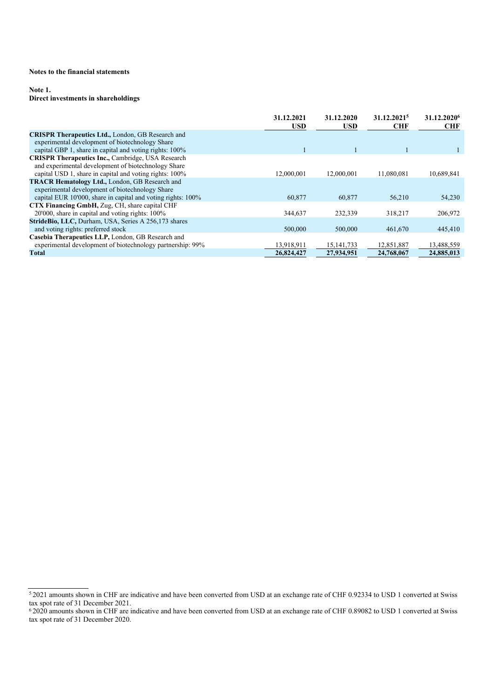# <span id="page-12-0"></span>**Notes to the financial statements**

# **Note 1.**

**Direct investments in shareholdings**

|                                                              | 31.12.2021<br><b>USD</b> | 31.12.2020<br><b>USD</b> | 31.12.20215<br><b>CHF</b> | 31.12.20206<br><b>CHF</b> |
|--------------------------------------------------------------|--------------------------|--------------------------|---------------------------|---------------------------|
| <b>CRISPR Therapeutics Ltd., London, GB Research and</b>     |                          |                          |                           |                           |
| experimental development of biotechnology Share              |                          |                          |                           |                           |
| capital GBP 1, share in capital and voting rights: 100%      |                          |                          |                           |                           |
| CRISPR Therapeutics Inc., Cambridge, USA Research            |                          |                          |                           |                           |
| and experimental development of biotechnology Share          |                          |                          |                           |                           |
| capital USD 1, share in capital and voting rights: 100%      | 12,000,001               | 12,000,001               | 11,080,081                | 10,689,841                |
| <b>TRACR Hematology Ltd., London, GB Research and</b>        |                          |                          |                           |                           |
| experimental development of biotechnology Share              |                          |                          |                           |                           |
| capital EUR 10'000, share in capital and voting rights: 100% | 60,877                   | 60,877                   | 56,210                    | 54,230                    |
| CTX Financing GmbH, Zug, CH, share capital CHF               |                          |                          |                           |                           |
| 20'000, share in capital and voting rights: 100%             | 344,637                  | 232,339                  | 318,217                   | 206,972                   |
| StrideBio, LLC, Durham, USA, Series A 256,173 shares         |                          |                          |                           |                           |
| and voting rights: preferred stock                           | 500,000                  | 500,000                  | 461,670                   | 445,410                   |
| Casebia Therapeutics LLP, London, GB Research and            |                          |                          |                           |                           |
| experimental development of biotechnology partnership: 99%   | 13,918,911               | 15, 141, 733             | 12,851,887                | 13,488,559                |
| Total                                                        | 26,824,427               | 27,934,951               | 24,768,067                | 24,885,013                |

<sup>&</sup>lt;sup>5</sup> 2021 amounts shown in CHF are indicative and have been converted from USD at an exchange rate of CHF 0.92334 to USD 1 converted at Swiss tax spot rate of 31 December 2021.

<sup>6</sup>2020 amounts shown in CHF are indicative and have been converted from USD at an exchange rate of CHF 0.89082 to USD 1 converted at Swiss tax spot rate of 31 December 2020.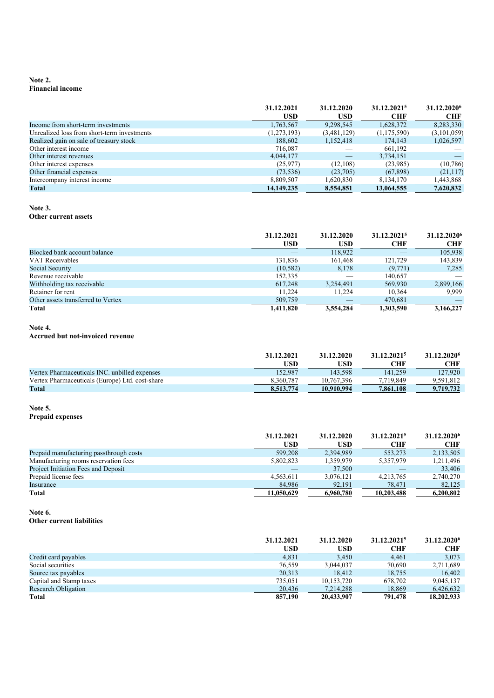## **Note 2. Financial income**

|                                             | 31.12.2021  | 31.12.2020               | 31.12.20215 | 31.12.20206                   |
|---------------------------------------------|-------------|--------------------------|-------------|-------------------------------|
|                                             | <b>USD</b>  | <b>USD</b>               | <b>CHF</b>  | <b>CHF</b>                    |
| Income from short-term investments          | 1,763,567   | 9,298,545                | 1,628,372   | 8,283,330                     |
| Unrealized loss from short-term investments | (1,273,193) | (3,481,129)              | (1,175,590) | (3,101,059)                   |
| Realized gain on sale of treasury stock     | 188,602     | 1,152,418                | 174,143     | 1,026,597                     |
| Other interest income                       | 716,087     |                          | 661,192     |                               |
| Other interest revenues                     | 4,044,177   | $\overline{\phantom{a}}$ | 3,734,151   | $\overbrace{\phantom{aaaaa}}$ |
| Other interest expenses                     | (25.977)    | (12,108)                 | (23,985)    | (10, 786)                     |
| Other financial expenses                    | (73, 536)   | (23,705)                 | (67,898)    | (21, 117)                     |
| Intercompany interest income                | 8,809,507   | 1,620,830                | 8, 134, 170 | 1,443,868                     |
| <b>Total</b>                                | 14,149,235  | 8,554,851                | 13,064,555  | 7,620,832                     |

# **Note 3.**

**Other current assets**

|                                    | 31.12.2021<br><b>USD</b> | 31.12.2020<br><b>USD</b> | 31.12.20215<br><b>CHF</b>     | 31.12.20206<br><b>CHF</b> |
|------------------------------------|--------------------------|--------------------------|-------------------------------|---------------------------|
| Blocked bank account balance       |                          | 118,922                  | $\overbrace{\phantom{aaaaa}}$ | 105,938                   |
| VAT Receivables                    | 131,836                  | 161,468                  | 121.729                       | 143,839                   |
| Social Security                    | (10, 582)                | 8,178                    | (9,771)                       | 7,285                     |
| Revenue receivable                 | 152,335                  |                          | 140,657                       | $\overline{\phantom{m}}$  |
| Withholding tax receivable         | 617,248                  | 3,254,491                | 569,930                       | 2,899,166                 |
| Retainer for rent                  | 11.224                   | 11.224                   | 10,364                        | 9.999                     |
| Other assets transferred to Vertex | 509,759                  |                          | 470,681                       |                           |
| <b>Total</b>                       | 1,411,820                | 3,554,284                | 1,303,590                     | 3,166,227                 |

## **Note 4.**

**Accrued but not-invoiced revenue**

|                                                 | 31.12.2021 | 31.12.2020 | 31.12.20215 | 31.12.2020 <sup>6</sup> |
|-------------------------------------------------|------------|------------|-------------|-------------------------|
|                                                 | USD        | USD        | CHF         | CHF                     |
| Vertex Pharmaceuticals INC, unbilled expenses   | 152.987    | 143.598    | 141.259     | 127.920                 |
| Vertex Pharmaceuticals (Europe) Ltd. cost-share | 8.360.787  | 10.767.396 | 7.719.849   | 9.591.812               |
| <b>Total</b>                                    | 8,513,774  | 10.910.994 | 7.861.108   | 9,719,732               |

# **Note 5.**

**Prepaid expenses**

|                                         | 31.12.2021 | 31.12.2020 | 31.12.20215 | 31.12.20206 |
|-----------------------------------------|------------|------------|-------------|-------------|
|                                         | <b>USD</b> | <b>USD</b> | <b>CHF</b>  | <b>CHF</b>  |
| Prepaid manufacturing passthrough costs | 599.208    | 2,394,989  | 553,273     | 2,133,505   |
| Manufacturing rooms reservation fees    | 5,802,823  | 1,359,979  | 5,357,979   | 1,211,496   |
| Project Initiation Fees and Deposit     |            | 37,500     |             | 33,406      |
| Prepaid license fees                    | 4,563,611  | 3,076,121  | 4,213,765   | 2,740,270   |
| Insurance                               | 84,986     | 92,191     | 78,471      | 82,125      |
| <b>Total</b>                            | 11,050,629 | 6,960,780  | 10.203.488  | 6,200,802   |

**Note 6. Other current liabilities**

|                            | 31.12.2021 | 31.12.2020 | 31.12.20215 | 31.12.2020 <sup>6</sup> |
|----------------------------|------------|------------|-------------|-------------------------|
|                            | <b>USD</b> | <b>USD</b> | <b>CHF</b>  | <b>CHF</b>              |
| Credit card payables       | 4,831      | 3,450      | 4,461       | 3,073                   |
| Social securities          | 76,559     | 3.044.037  | 70.690      | 2,711,689               |
| Source tax payables        | 20,313     | 18,412     | 18,755      | 16,402                  |
| Capital and Stamp taxes    | 735.051    | 10,153,720 | 678,702     | 9,045,137               |
| <b>Research Obligation</b> | 20,436     | 7,214,288  | 18,869      | 6,426,632               |
| <b>Total</b>               | 857,190    | 20,433,907 | 791,478     | 18,202,933              |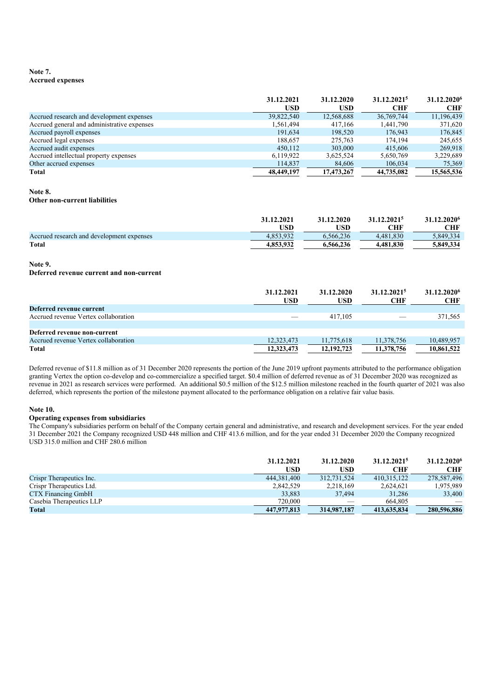## **Note 7. Accrued expenses**

|                                             | 31.12.2021 | 31.12.2020 | 31.12.20215 | 31.12.20206 |
|---------------------------------------------|------------|------------|-------------|-------------|
|                                             | <b>USD</b> | <b>USD</b> | CHF         | <b>CHF</b>  |
| Accrued research and development expenses   | 39,822,540 | 12,568,688 | 36,769,744  | 11,196,439  |
| Accrued general and administrative expenses | 1,561,494  | 417,166    | 1,441,790   | 371,620     |
| Accrued payroll expenses                    | 191,634    | 198,520    | 176,943     | 176,845     |
| Accrued legal expenses                      | 188,657    | 275,763    | 174,194     | 245,655     |
| Accrued audit expenses                      | 450.112    | 303,000    | 415,606     | 269,918     |
| Accrued intellectual property expenses      | 6,119,922  | 3,625,524  | 5,650,769   | 3,229,689   |
| Other accrued expenses                      | 114,837    | 84,606     | 106,034     | 75,369      |
| <b>Total</b>                                | 48,449,197 | 17,473,267 | 44,735,082  | 15,565,536  |

#### **Note 8.**

#### **Other non-current liabilities**

|                                           | 31.12.2021 | 31.12.2020 | 31.12.20215                     | 31.12.20206 |
|-------------------------------------------|------------|------------|---------------------------------|-------------|
|                                           | USD        | USL        | $\mathbb C\mathbf{H}\mathbf{F}$ | CHF         |
| Accrued research and development expenses | 4.853.932  | 6.566.236  | 4.481.830                       | 5.849.334   |
| <b>Total</b>                              | 4.853.932  | 6,566,236  | 4.481.830                       | 5.849.334   |

### **Note 9.**

**Deferred revenue current and non-current**

|                                      | 31.12.2021<br><b>USD</b> | 31.12.2020<br><b>USD</b> | 31.12.20215<br><b>CHF</b> | 31.12.20206<br><b>CHF</b> |
|--------------------------------------|--------------------------|--------------------------|---------------------------|---------------------------|
| Deferred revenue current             |                          |                          |                           |                           |
| Accrued revenue Vertex collaboration |                          | 417.105                  |                           | 371,565                   |
|                                      |                          |                          |                           |                           |
| Deferred revenue non-current         |                          |                          |                           |                           |
| Accrued revenue Vertex collaboration | 12,323,473               | 11.775.618               | 11,378,756                | 10.489.957                |
| <b>Total</b>                         | 12,323,473               | 12,192,723               | 11,378,756                | 10,861,522                |

Deferred revenue of \$11.8 million as of 31 December 2020 represents the portion of the June 2019 upfront payments attributed to the performance obligation granting Vertex the option co-develop and co-commercialize a specified target. \$0.4 million of deferred revenue as of 31 December 2020 was recognized as revenue in 2021 as research services were performed. An additional \$0.5 million of the \$12.5 million milestone reached in the fourth quarter of 2021 was also deferred, which represents the portion of the milestone payment allocated to the performance obligation on a relative fair value basis.

#### **Note 10.**

# **Operating expenses from subsidiaries**

The Company's subsidiaries perform on behalf of the Company certain general and administrative, and research and development services. For the year ended 31 December 2021 the Company recognized USD 448 million and CHF 413.6 million, and for the year ended 31 December 2020 the Company recognized USD 315.0 million and CHF 280.6 million

|                          | 31.12.2021  | 31.12.2020  | 31.12.20215 | 31.12.20206 |
|--------------------------|-------------|-------------|-------------|-------------|
|                          | USD         | USD         | CHF         | <b>CHF</b>  |
| Crispr Therapeutics Inc. | 444.381.400 | 312,731,524 | 410,315,122 | 278,587,496 |
| Crispr Therapeutics Ltd. | 2.842.529   | 2,218,169   | 2,624,621   | 1,975,989   |
| CTX Financing GmbH       | 33,883      | 37.494      | 31.286      | 33,400      |
| Casebia Therapeutics LLP | 720,000     |             | 664.805     |             |
| <b>Total</b>             | 447,977,813 | 314,987,187 | 413,635,834 | 280,596,886 |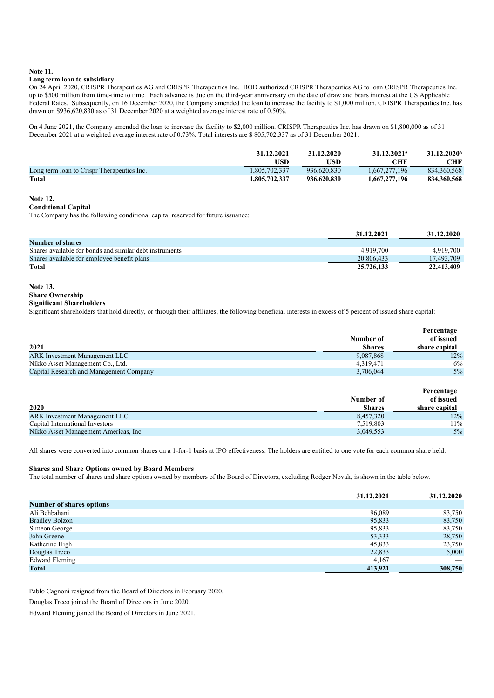#### **Note 11.**

### **Long term loan to subsidiary**

On 24 April 2020, CRISPR Therapeutics AG and CRISPR Therapeutics Inc. BOD authorized CRISPR Therapeutics AG to loan CRISPR Therapeutics Inc. up to \$500 million from time-time to time. Each advance is due on the third-year anniversary on the date of draw and bears interest at the US Applicable Federal Rates. Subsequently, on 16 December 2020, the Company amended the loan to increase the facility to \$1,000 million. CRISPR Therapeutics Inc. has drawn on \$936,620,830 as of 31 December 2020 at a weighted average interest rate of 0.50%.

On 4 June 2021, the Company amended the loan to increase the facility to \$2,000 million. CRISPR Therapeutics Inc. has drawn on \$1,800,000 as of 31 December 2021 at a weighted average interest rate of 0.73%. Total interests are \$ 805,702,337 as of 31 December 2021.

|                                            | 31.12.2021    | 31.12.2020  | 31.12.20215   | 31.12.2020 <sup>6</sup> |
|--------------------------------------------|---------------|-------------|---------------|-------------------------|
|                                            |               | USD         | CHF           | ľН                      |
| Long term loan to Crispr Therapeutics Inc. | .805.702.337  | 936.620.830 | .667.277.196  | 834.360.568             |
| Total                                      | 1.805.702.337 | 936,620,830 | 1.667.277.196 | 834, 360, 568           |

# **Note 12.**

## **Conditional Capital**

The Company has the following conditional capital reserved for future issuance:

|                                                         | 31.12.2021 | 31.12.2020 |
|---------------------------------------------------------|------------|------------|
| <b>Number of shares</b>                                 |            |            |
| Shares available for bonds and similar debt instruments | 4.919.700  | 4.919.700  |
| Shares available for employee benefit plans             | 20.806.433 | 17,493,709 |
| <b>Total</b>                                            | 25,726,133 | 22,413,409 |

# **Note 13.**

#### **Share Ownership Significant Shareholders**

Significant shareholders that hold directly, or through their affiliates, the following beneficial interests in excess of 5 percent of issued share capital:

|                                         |               | Percentage    |
|-----------------------------------------|---------------|---------------|
|                                         | Number of     | of issued     |
| 2021                                    | <b>Shares</b> | share capital |
| <b>ARK</b> Investment Management LLC    | 9,087,868     | 12%           |
| Nikko Asset Management Co., Ltd.        | 4.319.471     | 6%            |
| Capital Research and Management Company | 3,706,044     | $5\%$         |

|                                       |               | Percentage    |
|---------------------------------------|---------------|---------------|
|                                       | Number of     | of issued     |
| 2020                                  | <b>Shares</b> | share capital |
| <b>ARK</b> Investment Management LLC  | 8.457.320     | 12%           |
| Capital International Investors       | 7,519,803     | 11%           |
| Nikko Asset Management Americas, Inc. | 3,049,553     | $5\%$         |

All shares were converted into common shares on a 1-for-1 basis at IPO effectiveness. The holders are entitled to one vote for each common share held.

#### **Shares and Share Options owned by Board Members**

The total number of shares and share options owned by members of the Board of Directors, excluding Rodger Novak, is shown in the table below.

|                                 | 31.12.2021 | 31.12.2020 |
|---------------------------------|------------|------------|
| <b>Number of shares options</b> |            |            |
| Ali Behbahani                   | 96,089     | 83,750     |
| <b>Bradley Bolzon</b>           | 95,833     | 83,750     |
| Simeon George                   | 95,833     | 83,750     |
| John Greene                     | 53,333     | 28,750     |
| Katherine High                  | 45,833     | 23,750     |
| Douglas Treco                   | 22,833     | 5,000      |
| <b>Edward Fleming</b>           | 4,167      |            |
| <b>Total</b>                    | 413,921    | 308,750    |

Pablo Cagnoni resigned from the Board of Directors in February 2020.

Douglas Treco joined the Board of Directors in June 2020.

Edward Fleming joined the Board of Directors in June 2021.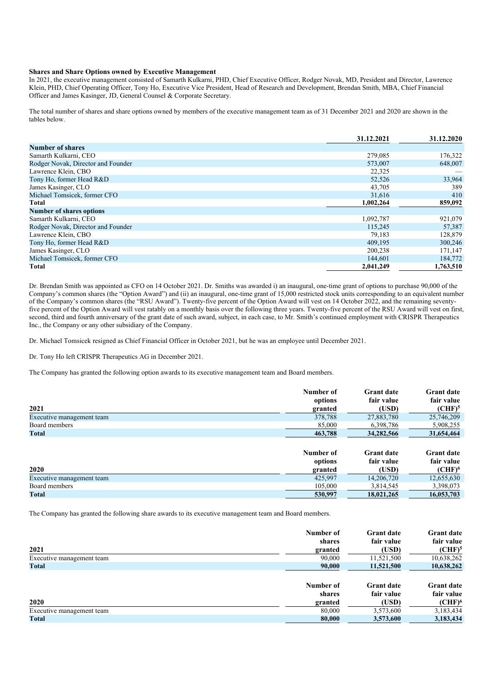#### **Shares and Share Options owned by Executive Management**

In 2021, the executive management consisted of Samarth Kulkarni, PHD, Chief Executive Officer, Rodger Novak, MD, President and Director, Lawrence Klein, PHD, Chief Operating Officer, Tony Ho, Executive Vice President, Head of Research and Development, Brendan Smith, MBA, Chief Financial Officer and James Kasinger, JD, General Counsel & Corporate Secretary.

The total number of shares and share options owned by members of the executive management team as of 31 December 2021 and 2020 are shown in the tables below.

|                                    | 31.12.2021 | 31.12.2020 |
|------------------------------------|------------|------------|
| <b>Number of shares</b>            |            |            |
| Samarth Kulkarni, CEO              | 279,085    | 176,322    |
| Rodger Novak, Director and Founder | 573,007    | 648,007    |
| Lawrence Klein, CBO                | 22,325     |            |
| Tony Ho, former Head R&D           | 52,526     | 33,964     |
| James Kasinger, CLO                | 43,705     | 389        |
| Michael Tomsicek, former CFO       | 31,616     | 410        |
| Total                              | 1,002,264  | 859,092    |
| <b>Number of shares options</b>    |            |            |
| Samarth Kulkarni, CEO              | 1,092,787  | 921,079    |
| Rodger Novak, Director and Founder | 115.245    | 57,387     |
| Lawrence Klein, CBO                | 79,183     | 128,879    |
| Tony Ho, former Head R&D           | 409,195    | 300,246    |
| James Kasinger, CLO                | 200,238    | 171,147    |
| Michael Tomsicek, former CFO       | 144,601    | 184,772    |
| <b>Total</b>                       | 2.041.249  | 1,763,510  |

Dr. Brendan Smith was appointed as CFO on 14 October 2021. Dr. Smiths was awarded i) an inaugural, one-time grant of options to purchase 90,000 of the Company's common shares (the "Option Award") and (ii) an inaugural, one-time grant of 15,000 restricted stock units corresponding to an equivalent number of the Company's common shares (the "RSU Award"). Twenty-five percent of the Option Award will vest on 14 October 2022, and the remaining seventyfive percent of the Option Award will vest ratably on a monthly basis over the following three years. Twenty-five percent of the RSU Award will vest on first, second, third and fourth anniversary of the grant date of such award, subject, in each case, to Mr. Smith's continued employment with CRISPR Therapeutics Inc., the Company or any other subsidiary of the Company.

Dr. Michael Tomsicek resigned as Chief Financial Officer in October 2021, but he was an employee until December 2021.

Dr. Tony Ho left CRISPR Therapeutics AG in December 2021.

The Company has granted the following option awards to its executive management team and Board members.

|                           | Number of<br>options | <b>Grant date</b><br>fair value | <b>Grant date</b><br>fair value |
|---------------------------|----------------------|---------------------------------|---------------------------------|
| 2021                      | granted              | (USD)                           | $(CHF)^5$                       |
| Executive management team | 378,788              | 27,883,780                      | 25,746,209                      |
| Board members             | 85,000               | 6,398,786                       | 5,908,255                       |
| Total                     | 463,788              | 34,282,566                      | 31,654,464                      |
|                           | Number of            | <b>Grant date</b>               | <b>Grant date</b>               |
|                           | options              | fair value                      | fair value                      |
| 2020                      | granted              | (USD)                           | (CHF) <sup>6</sup>              |
| Executive management team | 425.997              | 14,206,720                      | 12,655,630                      |
| Board members             | 105,000              | 3,814,545                       | 3,398,073                       |
| <b>Total</b>              | 530,997              | 18,021,265                      | 16,053,703                      |

The Company has granted the following share awards to its executive management team and Board members.

|                           | Number of | <b>Grant date</b> | <b>Grant date</b> |
|---------------------------|-----------|-------------------|-------------------|
|                           | shares    | fair value        | fair value        |
| 2021                      | granted   | (USD)             | $(CHF)^5$         |
| Executive management team | 90,000    | 11,521,500        | 10,638,262        |
| Total                     | 90,000    | 11,521,500        | 10,638,262        |
|                           |           |                   |                   |
|                           | Number of | <b>Grant date</b> | <b>Grant date</b> |
|                           | shares    | fair value        | fair value        |
| 2020                      | granted   | (USD)             | $(CHF)^6$         |
| Executive management team | 80,000    | 3,573,600         | 3,183,434         |
| <b>Total</b>              | 80,000    | 3,573,600         | 3,183,434         |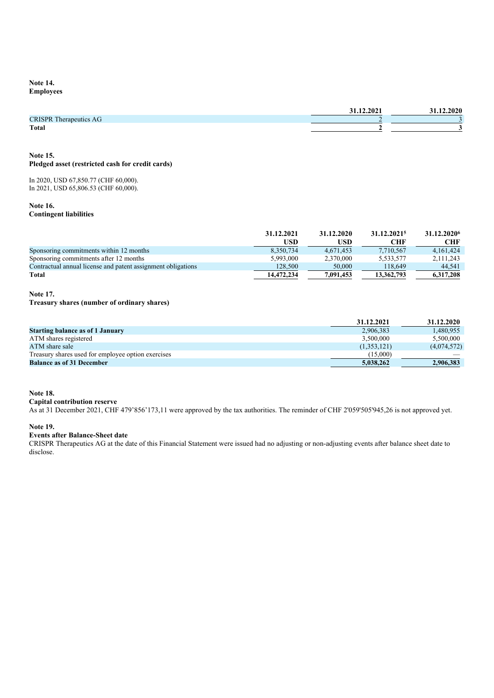**Note 14. Employees**

|                                        | 31.12.2021 | 31.12.2020 |
|----------------------------------------|------------|------------|
| <b>CRISPR Th</b><br>AG<br>herapeutics. |            |            |
| <b>Total</b>                           |            |            |

## **Note 15. Pledged asset (restricted cash for credit cards)**

In 2020, USD 67,850.77 (CHF 60,000). In 2021, USD 65,806.53 (CHF 60,000).

# **Note 16.**

**Contingent liabilities**

|                                                              | 31.12.2021<br>USD | 31.12.2020<br><b>USD</b> | 31.12.20215<br>CHF | 31.12.2020 <sup>6</sup><br>CHF |
|--------------------------------------------------------------|-------------------|--------------------------|--------------------|--------------------------------|
| Sponsoring commitments within 12 months                      | 8.350.734         | 4.671.453                | 7,710,567          | 4.161.424                      |
| Sponsoring commitments after 12 months                       | 5.993.000         | 2.370.000                | 5,533,577          | 2,111,243                      |
| Contractual annual license and patent assignment obligations | 128.500           | 50,000                   | 118.649            | 44.541                         |
| Total                                                        | 14,472,234        | 7.091.453                | 13.362.793         | 6,317,208                      |

## **Note 17. Treasury shares (number of ordinary shares)**

|                                                    | 31.12.2021  | 31.12.2020  |
|----------------------------------------------------|-------------|-------------|
| <b>Starting balance as of 1 January</b>            | 2,906,383   | 1,480,955   |
| ATM shares registered                              | 3.500.000   | 5.500.000   |
| ATM share sale                                     | (1,353,121) | (4,074,572) |
| Treasury shares used for employee option exercises | (15.000)    |             |
| <b>Balance as of 31 December</b>                   | 5.038.262   | 2,906,383   |

## **Note 18.**

## **Capital contribution reserve**

As at 31 December 2021, CHF 479'856'173,11 were approved by the tax authorities. The reminder of CHF 2'059'505'945,26 is not approved yet.

## **Note 19.**

# **Events after Balance-Sheet date**

CRISPR Therapeutics AG at the date of this Financial Statement were issued had no adjusting or non-adjusting events after balance sheet date to disclose.